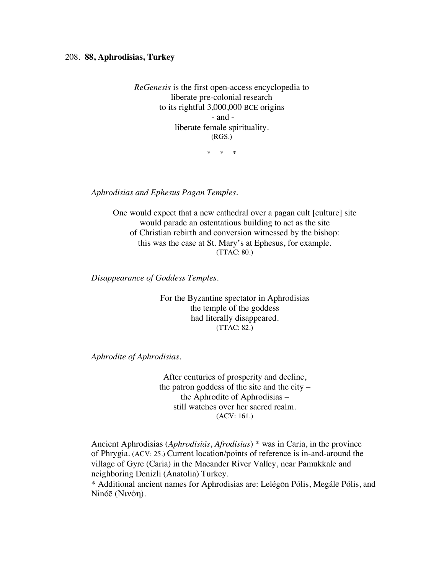## 208. **88, Aphrodisias, Turkey**

*ReGenesis* is the first open-access encyclopedia to liberate pre-colonial research to its rightful 3,000,000 BCE origins - and liberate female spirituality. (RGS.)

\* \* \*

*Aphrodisias and Ephesus Pagan Temples.*

One would expect that a new cathedral over a pagan cult [culture] site would parade an ostentatious building to act as the site of Christian rebirth and conversion witnessed by the bishop: this was the case at St. Mary's at Ephesus, for example. (TTAC: 80.)

*Disappearance of Goddess Temples.*

For the Byzantine spectator in Aphrodisias the temple of the goddess had literally disappeared. (TTAC: 82.)

*Aphrodite of Aphrodisias.*

After centuries of prosperity and decline, the patron goddess of the site and the city – the Aphrodite of Aphrodisias – still watches over her sacred realm. (ACV: 161.)

Ancient Aphrodisias (*Aphrodisiás*, *Afrodisias*) \* was in Caria, in the province of Phrygia. (ACV: 25.) Current location/points of reference is in-and-around the village of Gyre (Caria) in the Maeander River Valley, near Pamukkale and neighboring Denizli (Anatolia) Turkey.

\* Additional ancient names for Aphrodisias are: Lelégōn Pólis, Megálē Pólis, and Ninóē (Νινόη).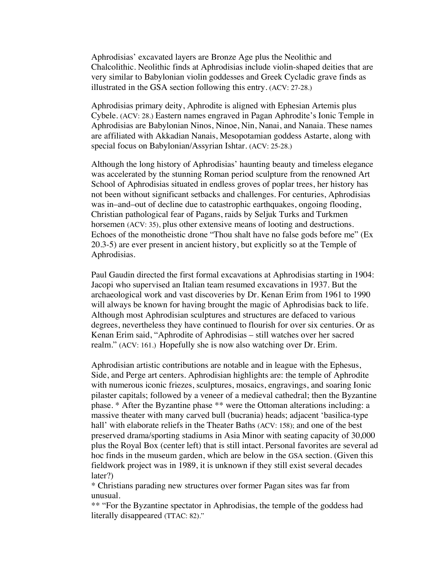Aphrodisias' excavated layers are Bronze Age plus the Neolithic and Chalcolithic. Neolithic finds at Aphrodisias include violin-shaped deities that are very similar to Babylonian violin goddesses and Greek Cycladic grave finds as illustrated in the GSA section following this entry. (ACV: 27-28.)

Aphrodisias primary deity, Aphrodite is aligned with Ephesian Artemis plus Cybele. (ACV: 28.) Eastern names engraved in Pagan Aphrodite's Ionic Temple in Aphrodisias are Babylonian Ninos, Ninoe, Nin, Nanai, and Nanaia. These names are affiliated with Akkadian Nanais, Mesopotamian goddess Astarte, along with special focus on Babylonian/Assyrian Ishtar. (ACV: 25-28.)

Although the long history of Aphrodisias' haunting beauty and timeless elegance was accelerated by the stunning Roman period sculpture from the renowned Art School of Aphrodisias situated in endless groves of poplar trees, her history has not been without significant setbacks and challenges. For centuries, Aphrodisias was in–and–out of decline due to catastrophic earthquakes, ongoing flooding, Christian pathological fear of Pagans, raids by Seljuk Turks and Turkmen horsemen (ACV: 35), plus other extensive means of looting and destructions. Echoes of the monotheistic drone "Thou shalt have no false gods before me" (Ex 20.3-5) are ever present in ancient history, but explicitly so at the Temple of Aphrodisias.

Paul Gaudin directed the first formal excavations at Aphrodisias starting in 1904: Jacopi who supervised an Italian team resumed excavations in 1937. But the archaeological work and vast discoveries by Dr. Kenan Erim from 1961 to 1990 will always be known for having brought the magic of Aphrodisias back to life. Although most Aphrodisian sculptures and structures are defaced to various degrees, nevertheless they have continued to flourish for over six centuries. Or as Kenan Erim said, "Aphrodite of Aphrodisias – still watches over her sacred realm." (ACV: 161.) Hopefully she is now also watching over Dr. Erim.

Aphrodisian artistic contributions are notable and in league with the Ephesus, Side, and Perge art centers. Aphrodisian highlights are: the temple of Aphrodite with numerous iconic friezes, sculptures, mosaics, engravings, and soaring Ionic pilaster capitals; followed by a veneer of a medieval cathedral; then the Byzantine phase. \* After the Byzantine phase \*\* were the Ottoman alterations including: a massive theater with many carved bull (bucrania) heads; adjacent 'basilica-type hall' with elaborate reliefs in the Theater Baths (ACV: 158); and one of the best preserved drama/sporting stadiums in Asia Minor with seating capacity of 30,000 plus the Royal Box (center left) that is still intact. Personal favorites are several ad hoc finds in the museum garden, which are below in the GSA section. (Given this fieldwork project was in 1989, it is unknown if they still exist several decades later?)

\* Christians parading new structures over former Pagan sites was far from unusual.

\*\* "For the Byzantine spectator in Aphrodisias, the temple of the goddess had literally disappeared (TTAC: 82)."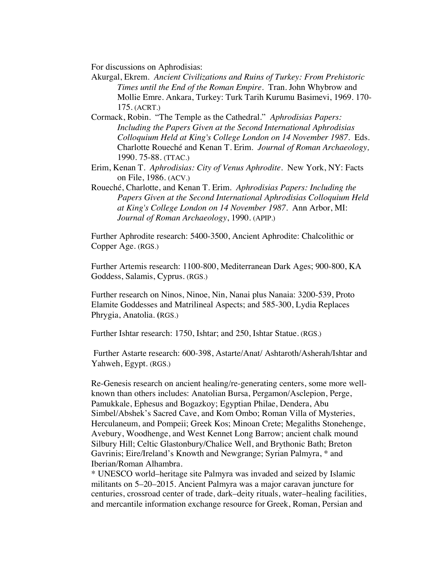For discussions on Aphrodisias:

- Akurgal, Ekrem*. Ancient Civilizations and Ruins of Turkey: From Prehistoric Times until the End of the Roman Empire*. Tran. John Whybrow and Mollie Emre. Ankara, Turkey: Turk Tarih Kurumu Basimevi, 1969. 170- 175. (ACRT.)
- Cormack, Robin. "The Temple as the Cathedral." *Aphrodisias Papers: Including the Papers Given at the Second International Aphrodisias Colloquium Held at King's College London on 14 November 1987*. Eds. Charlotte Roueché and Kenan T. Erim. *Journal of Roman Archaeology,* 1990. 75-88. (TTAC.)
- Erim, Kenan T. *Aphrodisias: City of Venus Aphrodite.* New York, NY: Facts on File, 1986. (ACV.)
- Roueché, Charlotte, and Kenan T. Erim. *Aphrodisias Papers: Including the Papers Given at the Second International Aphrodisias Colloquium Held at King's College London on 14 November 1987*. Ann Arbor, MI: *Journal of Roman Archaeology*, 1990. (APIP.)

Further Aphrodite research: 5400-3500, Ancient Aphrodite: Chalcolithic or Copper Age. (RGS.)

Further Artemis research: 1100-800, Mediterranean Dark Ages; 900-800, KA Goddess, Salamis, Cyprus. (RGS.)

Further research on Ninos, Ninoe, Nin, Nanai plus Nanaia: 3200-539, Proto Elamite Goddesses and Matrilineal Aspects; and 585-300, Lydia Replaces Phrygia, Anatolia. **(**RGS.)

Further Ishtar research: 1750, Ishtar; and 250, Ishtar Statue. (RGS.)

Further Astarte research: 600-398, Astarte/Anat/ Ashtaroth/Asherah/Ishtar and Yahweh, Egypt. (RGS.)

Re-Genesis research on ancient healing/re-generating centers, some more wellknown than others includes: Anatolian Bursa, Pergamon/Asclepion, Perge, Pamukkale, Ephesus and Bogazkoy; Egyptian Philae, Dendera, Abu Simbel/Abshek's Sacred Cave, and Kom Ombo; Roman Villa of Mysteries, Herculaneum, and Pompeii; Greek Kos; Minoan Crete; Megaliths Stonehenge, Avebury, Woodhenge, and West Kennet Long Barrow; ancient chalk mound Silbury Hill; Celtic Glastonbury/Chalice Well, and Brythonic Bath; Breton Gavrinis; Eire/Ireland's Knowth and Newgrange; Syrian Palmyra, \* and Iberian/Roman Alhambra.

\* UNESCO world–heritage site Palmyra was invaded and seized by Islamic militants on 5–20–2015. Ancient Palmyra was a major caravan juncture for centuries, crossroad center of trade, dark–deity rituals, water–healing facilities, and mercantile information exchange resource for Greek, Roman, Persian and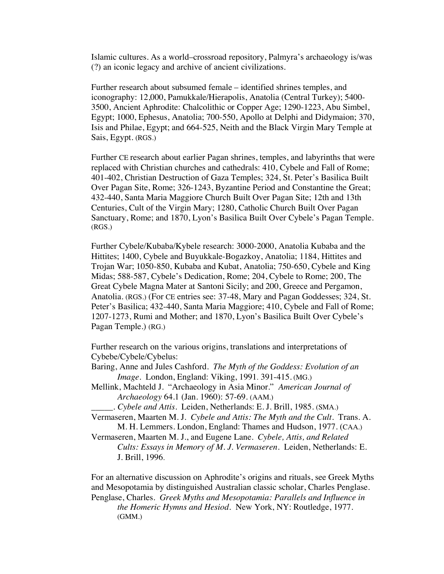Islamic cultures. As a world–crossroad repository, Palmyra's archaeology is/was (?) an iconic legacy and archive of ancient civilizations.

Further research about subsumed female – identified shrines temples, and iconography: 12,000, Pamukkale/Hierapolis, Anatolia (Central Turkey); 5400- 3500, Ancient Aphrodite: Chalcolithic or Copper Age; 1290-1223, Abu Simbel, Egypt; 1000, Ephesus, Anatolia; 700-550, Apollo at Delphi and Didymaion; 370, Isis and Philae, Egypt; and 664-525, Neith and the Black Virgin Mary Temple at Sais, Egypt. (RGS.)

Further CE research about earlier Pagan shrines, temples, and labyrinths that were replaced with Christian churches and cathedrals: 410, Cybele and Fall of Rome; 401-402, Christian Destruction of Gaza Temples; 324, St. Peter's Basilica Built Over Pagan Site, Rome; 326-1243, Byzantine Period and Constantine the Great; 432-440, Santa Maria Maggiore Church Built Over Pagan Site; 12th and 13th Centuries, Cult of the Virgin Mary; 1280, Catholic Church Built Over Pagan Sanctuary, Rome; and 1870, Lyon's Basilica Built Over Cybele's Pagan Temple. (RGS.)

Further Cybele/Kubaba/Kybele research: 3000-2000, Anatolia Kubaba and the Hittites; 1400, Cybele and Buyukkale-Bogazkoy, Anatolia; 1184, Hittites and Trojan War; 1050-850, Kubaba and Kubat, Anatolia; 750-650, Cybele and King Midas; 588-587, Cybele's Dedication, Rome; 204, Cybele to Rome; 200, The Great Cybele Magna Mater at Santoni Sicily; and 200, Greece and Pergamon, Anatolia. (RGS.) (For CE entries see: 37-48, Mary and Pagan Goddesses; 324, St. Peter's Basilica; 432-440, Santa Maria Maggiore; 410, Cybele and Fall of Rome; 1207-1273, Rumi and Mother; and 1870, Lyon's Basilica Built Over Cybele's Pagan Temple.) (RG.)

Further research on the various origins, translations and interpretations of Cybebe/Cybele/Cybelus:

- Baring, Anne and Jules Cashford. *The Myth of the Goddess: Evolution of an Image*. London, England: Viking, 1991. 391-415. (MG.)
- Mellink, Machteld J. "Archaeology in Asia Minor." *American Journal of Archaeology* 64.1 (Jan. 1960): 57-69. (AAM.)

*\_\_\_\_\_. Cybele and Attis.* Leiden, Netherlands: E. J. Brill, 1985. (SMA.)

Vermaseren, Maarten M. J. *Cybele and Attis: The Myth and the Cult.* Trans. A. M. H. Lemmers. London, England: Thames and Hudson, 1977. (CAA.)

Vermaseren, Maarten M. J., and Eugene Lane. *Cybele, Attis, and Related Cults: Essays in Memory of M. J. Vermaseren*. Leiden, Netherlands: E. J. Brill, 1996.

For an alternative discussion on Aphrodite's origins and rituals, see Greek Myths and Mesopotamia by distinguished Australian classic scholar, Charles Penglase. Penglase, Charles. *Greek Myths and Mesopotamia: Parallels and Influence in the Homeric Hymns and Hesiod.* New York, NY: Routledge, 1977. (GMM.)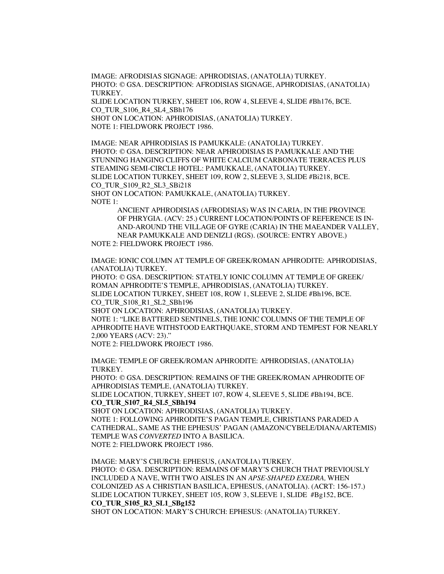IMAGE: AFRODISIAS SIGNAGE: APHRODISIAS, (ANATOLIA) TURKEY. PHOTO: © GSA. DESCRIPTION: AFRODISIAS SIGNAGE, APHRODISIAS, (ANATOLIA) TURKEY.

SLIDE LOCATION TURKEY, SHEET 106, ROW 4, SLEEVE 4, SLIDE #Bh176, BCE. CO\_TUR\_S106\_R4\_SL4\_SBh176 SHOT ON LOCATION: APHRODISIAS, (ANATOLIA) TURKEY. NOTE 1: FIELDWORK PROJECT 1986.

IMAGE: NEAR APHRODISIAS IS PAMUKKALE: (ANATOLIA) TURKEY. PHOTO: © GSA. DESCRIPTION: NEAR APHRODISIAS IS PAMUKKALE AND THE STUNNING HANGING CLIFFS OF WHITE CALCIUM CARBONATE TERRACES PLUS STEAMING SEMI-CIRCLE HOTEL: PAMUKKALE, (ANATOLIA) TURKEY. SLIDE LOCATION TURKEY, SHEET 109, ROW 2, SLEEVE 3, SLIDE #Bi218, BCE. CO\_TUR\_S109\_R2\_SL3\_SBi218 SHOT ON LOCATION: PAMUKKALE, (ANATOLIA) TURKEY. NOTE 1:

ANCIENT APHRODISIAS (AFRODISIAS) WAS IN CARIA, IN THE PROVINCE OF PHRYGIA. (ACV: 25.) CURRENT LOCATION/POINTS OF REFERENCE IS IN-AND-AROUND THE VILLAGE OF GYRE (CARIA) IN THE MAEANDER VALLEY, NEAR PAMUKKALE AND DENIZLI (RGS). (SOURCE: ENTRY ABOVE.)

NOTE 2: FIELDWORK PROJECT 1986.

IMAGE: IONIC COLUMN AT TEMPLE OF GREEK/ROMAN APHRODITE: APHRODISIAS, (ANATOLIA) TURKEY.

PHOTO: © GSA. DESCRIPTION: STATELY IONIC COLUMN AT TEMPLE OF GREEK/ ROMAN APHRODITE'S TEMPLE, APHRODISIAS, (ANATOLIA) TURKEY. SLIDE LOCATION TURKEY, SHEET 108, ROW 1, SLEEVE 2, SLIDE #Bh196, BCE. CO\_TUR\_S108\_R1\_SL2\_SBh196

SHOT ON LOCATION: APHRODISIAS, (ANATOLIA) TURKEY.

NOTE 1: "LIKE BATTERED SENTINELS, THE IONIC COLUMNS OF THE TEMPLE OF APHRODITE HAVE WITHSTOOD EARTHQUAKE, STORM AND TEMPEST FOR NEARLY 2,000 YEARS (ACV: 23)."

NOTE 2: FIELDWORK PROJECT 1986.

IMAGE: TEMPLE OF GREEK/ROMAN APHRODITE: APHRODISIAS, (ANATOLIA) TURKEY.

PHOTO: © GSA. DESCRIPTION: REMAINS OF THE GREEK/ROMAN APHRODITE OF APHRODISIAS TEMPLE, (ANATOLIA) TURKEY.

SLIDE LOCATION, TURKEY, SHEET 107, ROW 4, SLEEVE 5, SLIDE #Bh194, BCE. **CO\_TUR\_S107\_R4\_SL5\_SBh194**

SHOT ON LOCATION: APHRODISIAS, (ANATOLIA) TURKEY. NOTE 1: FOLLOWING APHRODITE'S PAGAN TEMPLE, CHRISTIANS PARADED A CATHEDRAL, SAME AS THE EPHESUS' PAGAN (AMAZON/CYBELE/DIANA/ARTEMIS) TEMPLE WAS *CONVERTED* INTO A BASILICA. NOTE 2: FIELDWORK PROJECT 1986.

IMAGE: MARY'S CHURCH: EPHESUS, (ANATOLIA) TURKEY. PHOTO: © GSA. DESCRIPTION: REMAINS OF MARY'S CHURCH THAT PREVIOUSLY INCLUDED A NAVE, WITH TWO AISLES IN AN *APSE-SHAPED EXEDRA,* WHEN COLONIZED AS A CHRISTIAN BASILICA, EPHESUS, (ANATOLIA). (ACRT: 156-157.) SLIDE LOCATION TURKEY, SHEET 105, ROW 3, SLEEVE 1, SLIDE #Bg152, BCE. **CO\_TUR\_S105\_R3\_SL1\_SBg152**

SHOT ON LOCATION: MARY'S CHURCH: EPHESUS: (ANATOLIA) TURKEY.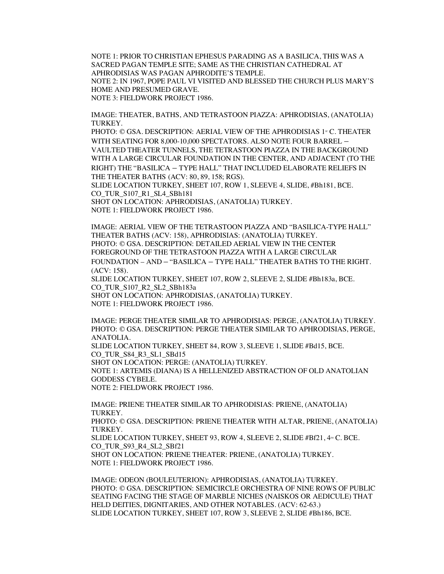NOTE 1: PRIOR TO CHRISTIAN EPHESUS PARADING AS A BASILICA, THIS WAS A SACRED PAGAN TEMPLE SITE; SAME AS THE CHRISTIAN CATHEDRAL AT APHRODISIAS WAS PAGAN APHRODITE'S TEMPLE. NOTE 2: IN 1967, POPE PAUL VI VISITED AND BLESSED THE CHURCH PLUS MARY'S HOME AND PRESUMED GRAVE. NOTE 3: FIELDWORK PROJECT 1986.

IMAGE: THEATER, BATHS, AND TETRASTOON PIAZZA: APHRODISIAS, (ANATOLIA) TURKEY.

PHOTO: © GSA. DESCRIPTION: AERIAL VIEW OF THE APHRODISIAS 1<sup>st</sup> C. THEATER WITH SEATING FOR 8,000-10,000 SPECTATORS. ALSO NOTE FOUR BARREL – VAULTED THEATER TUNNELS, THE TETRASTOON PIAZZA IN THE BACKGROUND WITH A LARGE CIRCULAR FOUNDATION IN THE CENTER, AND ADJACENT (TO THE RIGHT) THE "BASILICA – TYPE HALL" THAT INCLUDED ELABORATE RELIEFS IN THE THEATER BATHS (ACV: 80, 89, 158; RGS).

SLIDE LOCATION TURKEY, SHEET 107, ROW 1, SLEEVE 4, SLIDE, #Bh181, BCE. CO\_TUR\_S107\_R1\_SL4\_SBh181

SHOT ON LOCATION: APHRODISIAS, (ANATOLIA) TURKEY. NOTE 1: FIELDWORK PROJECT 1986.

IMAGE: AERIAL VIEW OF THE TETRASTOON PIAZZA AND "BASILICA-TYPE HALL" THEATER BATHS (ACV: 158), APHRODISIAS: (ANATOLIA) TURKEY. PHOTO: © GSA. DESCRIPTION: DETAILED AERIAL VIEW IN THE CENTER FOREGROUND OF THE TETRASTOON PIAZZA WITH A LARGE CIRCULAR FOUNDATION – AND – "BASILICA – TYPE HALL" THEATER BATHS TO THE RIGHT. (ACV: 158). SLIDE LOCATION TURKEY, SHEET 107, ROW 2, SLEEVE 2, SLIDE #Bh183a, BCE. CO\_TUR\_S107\_R2\_SL2\_SBh183a

SHOT ON LOCATION: APHRODISIAS, (ANATOLIA) TURKEY.

NOTE 1: FIELDWORK PROJECT 1986.

IMAGE: PERGE THEATER SIMILAR TO APHRODISIAS: PERGE, (ANATOLIA) TURKEY. PHOTO: © GSA. DESCRIPTION: PERGE THEATER SIMILAR TO APHRODISIAS, PERGE, ANATOLIA.

SLIDE LOCATION TURKEY, SHEET 84, ROW 3, SLEEVE 1, SLIDE #Bd15, BCE.

CO\_TUR\_S84\_R3\_SL1\_SBd15

SHOT ON LOCATION: PERGE: (ANATOLIA) TURKEY.

NOTE 1: ARTEMIS (DIANA) IS A HELLENIZED ABSTRACTION OF OLD ANATOLIAN GODDESS CYBELE.

NOTE 2: FIELDWORK PROJECT 1986.

IMAGE: PRIENE THEATER SIMILAR TO APHRODISIAS: PRIENE, (ANATOLIA) TURKEY.

PHOTO: © GSA. DESCRIPTION: PRIENE THEATER WITH ALTAR, PRIENE, (ANATOLIA) TURKEY.

SLIDE LOCATION TURKEY, SHEET 93, ROW 4, SLEEVE 2, SLIDE #Bf21,  $4<sup>m</sup>$  C. BCE. CO\_TUR\_S93\_R4\_SL2\_SBf21

SHOT ON LOCATION: PRIENE THEATER: PRIENE, (ANATOLIA) TURKEY. NOTE 1: FIELDWORK PROJECT 1986.

IMAGE: ODEON (BOULEUTERION): APHRODISIAS, (ANATOLIA) TURKEY. PHOTO: © GSA. DESCRIPTION: SEMICIRCLE ORCHESTRA OF NINE ROWS OF PUBLIC SEATING FACING THE STAGE OF MARBLE NICHES (NAISKOS OR AEDICULE) THAT HELD DEITIES, DIGNITARIES, AND OTHER NOTABLES. (ACV: 62-63.) SLIDE LOCATION TURKEY, SHEET 107, ROW 3, SLEEVE 2, SLIDE #Bh186, BCE.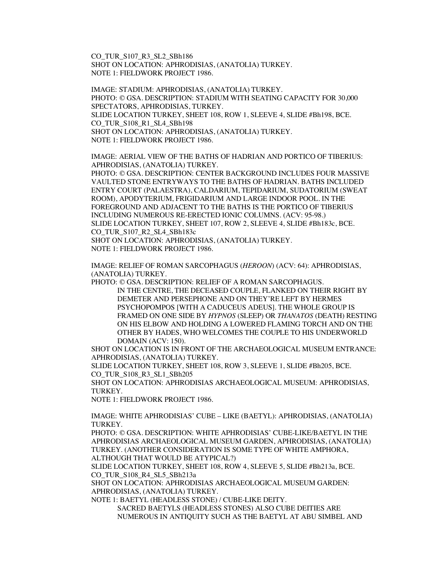CO\_TUR\_S107\_R3\_SL2\_SBh186 SHOT ON LOCATION: APHRODISIAS, (ANATOLIA) TURKEY. NOTE 1: FIELDWORK PROJECT 1986.

IMAGE: STADIUM: APHRODISIAS, (ANATOLIA) TURKEY. PHOTO: © GSA. DESCRIPTION: STADIUM WITH SEATING CAPACITY FOR 30,000 SPECTATORS, APHRODISIAS, TURKEY. SLIDE LOCATION TURKEY, SHEET 108, ROW 1, SLEEVE 4, SLIDE #Bh198, BCE. CO\_TUR\_S108\_R1\_SL4\_SBh198 SHOT ON LOCATION: APHRODISIAS, (ANATOLIA) TURKEY. NOTE 1: FIELDWORK PROJECT 1986.

IMAGE: AERIAL VIEW OF THE BATHS OF HADRIAN AND PORTICO OF TIBERIUS: APHRODISIAS, (ANATOLIA) TURKEY.

PHOTO: © GSA. DESCRIPTION: CENTER BACKGROUND INCLUDES FOUR MASSIVE VAULTED STONE ENTRYWAYS TO THE BATHS OF HADRIAN. BATHS INCLUDED ENTRY COURT (PALAESTRA), CALDARIUM, TEPIDARIUM, SUDATORIUM (SWEAT ROOM), APODYTERIUM, FRIGIDARIUM AND LARGE INDOOR POOL. IN THE FOREGROUND AND ADJACENT TO THE BATHS IS THE PORTICO OF TIBERIUS INCLUDING NUMEROUS RE-ERECTED IONIC COLUMNS. (ACV: 95-98.) SLIDE LOCATION TURKEY, SHEET 107, ROW 2, SLEEVE 4, SLIDE #Bh183c, BCE. CO\_TUR\_S107\_R2\_SL4\_SBh183c

SHOT ON LOCATION: APHRODISIAS, (ANATOLIA) TURKEY. NOTE 1: FIELDWORK PROJECT 1986.

IMAGE: RELIEF OF ROMAN SARCOPHAGUS (*HEROON*) (ACV: 64): APHRODISIAS, (ANATOLIA) TURKEY.

PHOTO: © GSA. DESCRIPTION: RELIEF OF A ROMAN SARCOPHAGUS.

IN THE CENTRE, THE DECEASED COUPLE, FLANKED ON THEIR RIGHT BY DEMETER AND PERSEPHONE AND ON THEY'RE LEFT BY HERMES PSYCHOPOMPOS [WITH A CADUCEUS ADEUS]. THE WHOLE GROUP IS FRAMED ON ONE SIDE BY *HYPNOS* (SLEEP) OR *THANATOS* (DEATH) RESTING ON HIS ELBOW AND HOLDING A LOWERED FLAMING TORCH AND ON THE OTHER BY HADES, WHO WELCOMES THE COUPLE TO HIS UNDERWORLD DOMAIN (ACV: 150).

SHOT ON LOCATION IS IN FRONT OF THE ARCHAEOLOGICAL MUSEUM ENTRANCE: APHRODISIAS, (ANATOLIA) TURKEY.

SLIDE LOCATION TURKEY, SHEET 108, ROW 3, SLEEVE 1, SLIDE #Bh205, BCE. CO\_TUR\_S108\_R3\_SL1\_SBh205

SHOT ON LOCATION: APHRODISIAS ARCHAEOLOGICAL MUSEUM: APHRODISIAS, TURKEY.

NOTE 1: FIELDWORK PROJECT 1986.

IMAGE: WHITE APHRODISIAS' CUBE – LIKE (BAETYL): APHRODISIAS, (ANATOLIA) TURKEY.

PHOTO: © GSA. DESCRIPTION: WHITE APHRODISIAS' CUBE-LIKE/BAETYL IN THE APHRODISIAS ARCHAEOLOGICAL MUSEUM GARDEN, APHRODISIAS, (ANATOLIA) TURKEY. (ANOTHER CONSIDERATION IS SOME TYPE OF WHITE AMPHORA, ALTHOUGH THAT WOULD BE ATYPICAL?)

SLIDE LOCATION TURKEY, SHEET 108, ROW 4, SLEEVE 5, SLIDE #Bh213a, BCE. CO\_TUR\_S108\_R4\_SL5\_SBh213a

SHOT ON LOCATION: APHRODISIAS ARCHAEOLOGICAL MUSEUM GARDEN: APHRODISIAS, (ANATOLIA) TURKEY.

NOTE 1: BAETYL (HEADLESS STONE) / CUBE-LIKE DEITY.

SACRED BAETYLS (HEADLESS STONES) ALSO CUBE DEITIES ARE NUMEROUS IN ANTIQUITY SUCH AS THE BAETYL AT ABU SIMBEL AND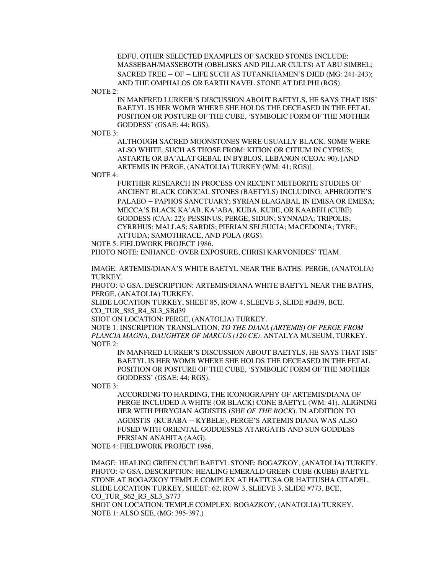EDFU. OTHER SELECTED EXAMPLES OF SACRED STONES INCLUDE: MASSEBAH/MASSEBOTH (OBELISKS AND PILLAR CULTS) AT ABU SIMBEL; SACRED TREE – OF – LIFE SUCH AS TUTANKHAMEN'S DJED (MG: 241-243); AND THE OMPHALOS OR EARTH NAVEL STONE AT DELPHI (RGS).

NOTE 2:

IN MANFRED LURKER'S DISCUSSION ABOUT BAETYLS, HE SAYS THAT ISIS' BAETYL IS HER WOMB WHERE SHE HOLDS THE DECEASED IN THE FETAL POSITION OR POSTURE OF THE CUBE, 'SYMBOLIC FORM OF THE MOTHER GODDESS' (GSAE: 44; RGS).

NOTE 3:

ALTHOUGH SACRED MOONSTONES WERE USUALLY BLACK, SOME WERE ALSO WHITE, SUCH AS THOSE FROM: KITION OR CITIUM IN CYPRUS; ASTARTE OR BA'ALAT GEBAL IN BYBLOS, LEBANON (CEOA: 90); [AND ARTEMIS IN PERGE, (ANATOLIA) TURKEY (WM: 41; RGS)].

NOTE 4:

FURTHER RESEARCH IN PROCESS ON RECENT METEORITE STUDIES OF ANCIENT BLACK CONICAL STONES (BAETYLS) INCLUDING: APHRODITE'S PALAEO – PAPHOS SANCTUARY; SYRIAN ELAGABAL IN EMISA OR EMESA; MECCA'S BLACK KA'AB, KA'ABA, KUBA, KUBE, OR KAABEH (CUBE) GODDESS (CAA: 22); PESSINUS; PERGE; SIDON; SYNNADA; TRIPOLIS; CYRRHUS; MALLAS; SARDIS; PIERIAN SELEUCIA; MACEDONIA; TYRE; ATTUDA; SAMOTHRACE, AND POLA (RGS).

NOTE 5: FIELDWORK PROJECT 1986.

PHOTO NOTE: ENHANCE: OVER EXPOSURE, CHRISI KARVONIDES' TEAM.

IMAGE: ARTEMIS/DIANA'S WHITE BAETYL NEAR THE BATHS: PERGE, (ANATOLIA) TURKEY.

PHOTO: © GSA. DESCRIPTION: ARTEMIS/DIANA WHITE BAETYL NEAR THE BATHS, PERGE, (ANATOLIA) TURKEY.

SLIDE LOCATION TURKEY, SHEET 85, ROW 4, SLEEVE 3, SLIDE #Bd39, BCE. CO\_TUR\_S85\_R4\_SL3\_SBd39

SHOT ON LOCATION: PERGE, (ANATOLIA) TURKEY.

NOTE 1: INSCRIPTION TRANSLATION, *TO THE DIANA (ARTEMIS) OF PERGE FROM PLANCIA MAGNA, DAUGHTER OF MARCUS (120 CE).* ANTALYA MUSEUM, TURKEY. NOTE 2:

IN MANFRED LURKER'S DISCUSSION ABOUT BAETYLS, HE SAYS THAT ISIS' BAETYL IS HER WOMB WHERE SHE HOLDS THE DECEASED IN THE FETAL POSITION OR POSTURE OF THE CUBE, 'SYMBOLIC FORM OF THE MOTHER GODDESS' (GSAE: 44; RGS).

NOTE 3:

ACCORDING TO HARDING, THE ICONOGRAPHY OF ARTEMIS/DIANA OF PERGE INCLUDED A WHITE (OR BLACK) CONE BAETYL (WM: 41), ALIGNING HER WITH PHRYGIAN AGDISTIS (SH*E OF THE ROCK*). IN ADDITION TO AGDISTIS (KUBABA – KYBELE), PERGE'S ARTEMIS DIANA WAS ALSO FUSED WITH ORIENTAL GODDESSES ATARGATIS AND SUN GODDESS PERSIAN ANAHITA (AAG).

NOTE 4: FIELDWORK PROJECT 1986.

IMAGE: HEALING GREEN CUBE BAETYL STONE: BOGAZKOY, (ANATOLIA) TURKEY. PHOTO: © GSA. DESCRIPTION: HEALING EMERALD GREEN CUBE (KUBE) BAETYL STONE AT BOGAZKOY TEMPLE COMPLEX AT HATTUSA OR HATTUSHA CITADEL. SLIDE LOCATION TURKEY, SHEET: 62, ROW 3, SLEEVE 3, SLIDE #773, BCE, CO\_TUR\_S62\_R3\_SL3\_S773 SHOT ON LOCATION: TEMPLE COMPLEX: BOGAZKOY, (ANATOLIA) TURKEY. NOTE 1: ALSO SEE, (MG: 395-397.)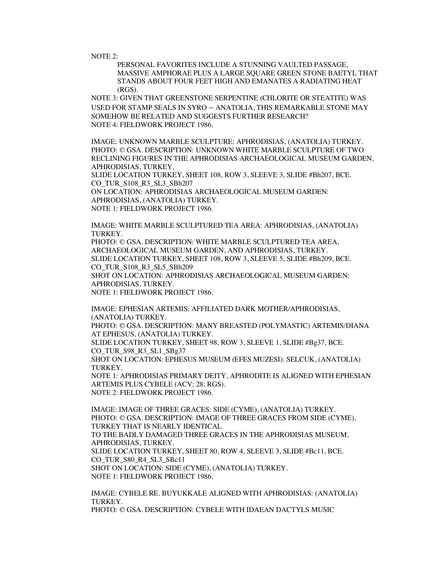NOTE 2:

PERSONAL FAVORITES INCLUDE A STUNNING VAULTED PASSAGE, MASSIVE AMPHORAE PLUS A LARGE SQUARE GREEN STONE BAETYL THAT STANDS ABOUT FOUR FEET HIGH AND EMANATES A RADIATING HEAT (RGS).

NOTE 3: GIVEN THAT GREENSTONE SERPENTINE (CHLORITE OR STEATITE) WAS USED FOR STAMP SEALS IN SYRO – ANATOLIA, THIS REMARKABLE STONE MAY SOMEHOW BE RELATED AND SUGGESTS FURTHER RESEARCH? NOTE 4: FIELDWORK PROJECT 1986.

IMAGE: UNKNOWN MARBLE SCULPTURE: APHRODISIAS, (ANATOLIA) TURKEY. PHOTO: © GSA. DESCRIPTION: UNKNOWN WHITE MARBLE SCULPTURE OF TWO RECLINING FIGURES IN THE APHRODISIAS ARCHAEOLOGICAL MUSEUM GARDEN, APHRODISIAS, TURKEY.

SLIDE LOCATION TURKEY, SHEET 108, ROW 3, SLEEVE 3, SLIDE #Bh207, BCE. CO\_TUR\_S108\_R3\_SL3\_SBh207

ON LOCATION: APHRODISIAS ARCHAEOLOGICAL MUSEUM GARDEN: APHRODISIAS, (ANATOLIA) TURKEY. NOTE 1: FIELDWORK PROJECT 1986.

IMAGE: WHITE MARBLE SCULPTURED TEA AREA: APHRODISIAS, (ANATOLIA) TURKEY.

PHOTO: © GSA. DESCRIPTION: WHITE MARBLE SCULPTURED TEA AREA, ARCHAEOLOGICAL MUSEUM GARDEN, AND APHRODISIAS, TURKEY. SLIDE LOCATION TURKEY, SHEET 108, ROW 3, SLEEVE 5, SLIDE #Bh209, BCE. CO\_TUR\_S108\_R3\_SL5\_SBh209 SHOT ON LOCATION: APHRODISIAS ARCHAEOLOGICAL MUSEUM GARDEN:

APHRODISIAS, TURKEY.

NOTE 1: FIELDWORK PROJECT 1986.

IMAGE: EPHESIAN ARTEMIS: AFFILIATED DARK MOTHER/APHRODISIAS, (ANATOLIA) TURKEY. PHOTO: © GSA. DESCRIPTION: MANY BREASTED (POLYMASTIC) ARTEMIS/DIANA AT EPHESUS, (ANATOLIA) TURKEY. SLIDE LOCATION TURKEY, SHEET 98, ROW 3, SLEEVE 1, SLIDE #Bg37, BCE.

CO\_TUR\_S98\_R3\_SL1\_SBg37

SHOT ON LOCATION: EPHESUS MUSEUM (EFES MUZESI): SELCUK, (ANATOLIA) TURKEY.

NOTE 1: APHRODISIAS PRIMARY DEITY, APHRODITE IS ALIGNED WITH EPHESIAN ARTEMIS PLUS CYBELE (ACV: 28; RGS). NOTE 2: FIELDWORK PROJECT 1986.

IMAGE: IMAGE OF THREE GRACES: SIDE (CYME), (ANATOLIA) TURKEY. PHOTO: © GSA. DESCRIPTION: IMAGE OF THREE GRACES FROM SIDE (CYME), TURKEY THAT IS NEARLY IDENTICAL TO THE BADLY DAMAGED THREE GRACES IN THE APHRODISIAS MUSEUM, APHRODISIAS, TURKEY. SLIDE LOCATION TURKEY, SHEET 80, ROW 4, SLEEVE 3, SLIDE #Bc11, BCE. CO TUR S80 R4 SL3 SBc11 SHOT ON LOCATION: SIDE (CYME), (ANATOLIA) TURKEY. NOTE 1: FIELDWORK PROJECT 1986.

IMAGE: CYBELE RE. BUYUKKALE ALIGNED WITH APHRODISIAS: (ANATOLIA) TURKEY. PHOTO: © GSA. DESCRIPTION: CYBELE WITH IDAEAN DACTYLS MUSIC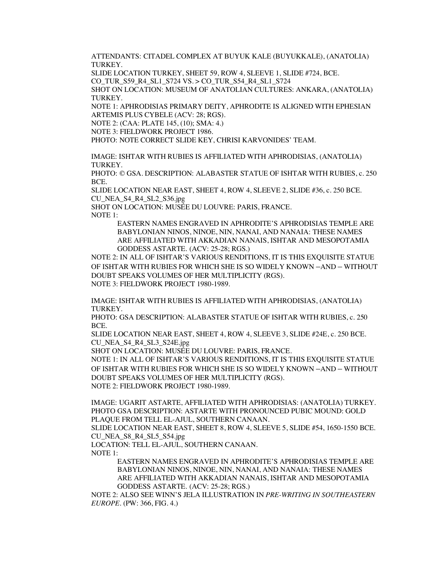ATTENDANTS: CITADEL COMPLEX AT BUYUK KALE (BUYUKKALE), (ANATOLIA) TURKEY.

SLIDE LOCATION TURKEY, SHEET 59, ROW 4, SLEEVE 1, SLIDE #724, BCE.

CO\_TUR\_S59\_R4\_SL1\_S724 VS. > CO\_TUR\_S54\_R4\_SL1\_S724

SHOT ON LOCATION: MUSEUM OF ANATOLIAN CULTURES: ANKARA, (ANATOLIA) TURKEY.

NOTE 1: APHRODISIAS PRIMARY DEITY, APHRODITE IS ALIGNED WITH EPHESIAN ARTEMIS PLUS CYBELE (ACV: 28; RGS).

NOTE 2: (CAA: PLATE 145, (10); SMA: 4.)

NOTE 3: FIELDWORK PROJECT 1986.

PHOTO: NOTE CORRECT SLIDE KEY, CHRISI KARVONIDES' TEAM.

IMAGE: ISHTAR WITH RUBIES IS AFFILIATED WITH APHRODISIAS, (ANATOLIA) TURKEY.

PHOTO: © GSA. DESCRIPTION: ALABASTER STATUE OF ISHTAR WITH RUBIES, c. 250 BCE.

SLIDE LOCATION NEAR EAST, SHEET 4, ROW 4, SLEEVE 2, SLIDE #36, c. 250 BCE. CU\_NEA\_S4\_R4\_SL2\_S36.jpg

SHOT ON LOCATION: MUSÉE DU LOUVRE: PARIS, FRANCE.

NOTE 1:

EASTERN NAMES ENGRAVED IN APHRODITE'S APHRODISIAS TEMPLE ARE BABYLONIAN NINOS, NINOE, NIN, NANAI, AND NANAIA: THESE NAMES ARE AFFILIATED WITH AKKADIAN NANAIS, ISHTAR AND MESOPOTAMIA GODDESS ASTARTE. (ACV: 25-28; RGS.)

NOTE 2: IN ALL OF ISHTAR'S VARIOUS RENDITIONS, IT IS THIS EXQUISITE STATUE OF ISHTAR WITH RUBIES FOR WHICH SHE IS SO WIDELY KNOWN –AND – WITHOUT DOUBT SPEAKS VOLUMES OF HER MULTIPLICITY (RGS). NOTE 3: FIELDWORK PROJECT 1980-1989.

IMAGE: ISHTAR WITH RUBIES IS AFFILIATED WITH APHRODISIAS, (ANATOLIA) TURKEY.

PHOTO: GSA DESCRIPTION: ALABASTER STATUE OF ISHTAR WITH RUBIES, c. 250 BCE.

SLIDE LOCATION NEAR EAST, SHEET 4, ROW 4, SLEEVE 3, SLIDE #24E, c. 250 BCE. CU\_NEA\_S4\_R4\_SL3\_S24E.jpg

SHOT ON LOCATION: MUSÉE DU LOUVRE: PARIS, FRANCE.

NOTE 1: IN ALL OF ISHTAR'S VARIOUS RENDITIONS, IT IS THIS EXQUISITE STATUE OF ISHTAR WITH RUBIES FOR WHICH SHE IS SO WIDELY KNOWN –AND – WITHOUT DOUBT SPEAKS VOLUMES OF HER MULTIPLICITY (RGS). NOTE 2: FIELDWORK PROJECT 1980-1989.

IMAGE: UGARIT ASTARTE, AFFILIATED WITH APHRODISIAS: (ANATOLIA) TURKEY. PHOTO GSA DESCRIPTION: ASTARTE WITH PRONOUNCED PUBIC MOUND: GOLD PLAQUE FROM TELL EL-AJUL, SOUTHERN CANAAN.

SLIDE LOCATION NEAR EAST, SHEET 8, ROW 4, SLEEVE 5, SLIDE #54, 1650-1550 BCE. CU\_NEA\_S8\_R4\_SL5\_S54.jpg

LOCATION: TELL EL-AJUL, SOUTHERN CANAAN.

NOTE 1:

EASTERN NAMES ENGRAVED IN APHRODITE'S APHRODISIAS TEMPLE ARE BABYLONIAN NINOS, NINOE, NIN, NANAI, AND NANAIA: THESE NAMES ARE AFFILIATED WITH AKKADIAN NANAIS, ISHTAR AND MESOPOTAMIA GODDESS ASTARTE. (ACV: 25-28; RGS.)

NOTE 2: ALSO SEE WINN'S JELA ILLUSTRATION IN *PRE-WRITING IN SOUTHEASTERN EUROPE*. (PW: 366, FIG. 4.)